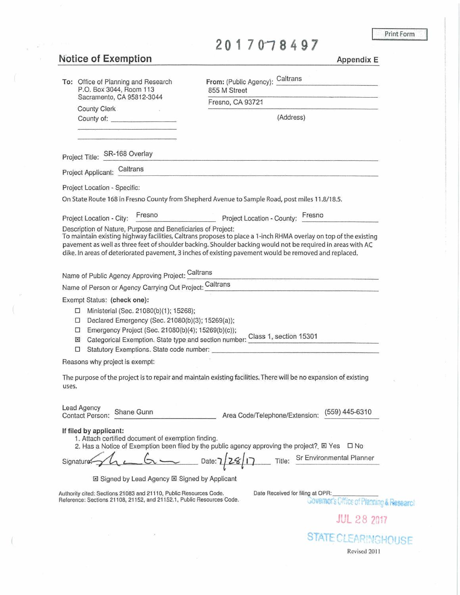Print Form

## **20170,8497**

## **N'otice of Exemption**

**Appendix E** 

| To: Office of Planning and Research<br>P.O. Box 3044, Room 113                                                                             | From: (Public Agency): Caltrans<br>855 M Street                                                                                                                                                                                                                                                                                          |
|--------------------------------------------------------------------------------------------------------------------------------------------|------------------------------------------------------------------------------------------------------------------------------------------------------------------------------------------------------------------------------------------------------------------------------------------------------------------------------------------|
| Sacramento, CA 95812-3044                                                                                                                  | Fresno, CA 93721                                                                                                                                                                                                                                                                                                                         |
| County Clerk                                                                                                                               | (Address)                                                                                                                                                                                                                                                                                                                                |
|                                                                                                                                            |                                                                                                                                                                                                                                                                                                                                          |
|                                                                                                                                            |                                                                                                                                                                                                                                                                                                                                          |
| Project Title: SR-168 Overlay                                                                                                              |                                                                                                                                                                                                                                                                                                                                          |
| Project Applicant: Caltrans                                                                                                                |                                                                                                                                                                                                                                                                                                                                          |
| Project Location - Specific:                                                                                                               |                                                                                                                                                                                                                                                                                                                                          |
|                                                                                                                                            | On State Route 168 in Fresno County from Shepherd Avenue to Sample Road, post miles 11.8/18.5.                                                                                                                                                                                                                                           |
| Project Location - City: Fresno                                                                                                            | Project Location - County: Fresho                                                                                                                                                                                                                                                                                                        |
| Description of Nature, Purpose and Beneficiaries of Project:                                                                               | To maintain existing highway facilities, Caltrans proposes to place a 1-inch RHMA overlay on top of the existing<br>pavement as well as three feet of shoulder backing. Shoulder backing would not be required in areas with AC<br>dike. In areas of deteriorated pavement, 3 inches of existing pavement would be removed and replaced. |
| Name of Public Agency Approving Project: Caltrans                                                                                          |                                                                                                                                                                                                                                                                                                                                          |
|                                                                                                                                            | Name of Person or Agency Carrying Out Project: Caltrans                                                                                                                                                                                                                                                                                  |
| Exempt Status: (check one):                                                                                                                |                                                                                                                                                                                                                                                                                                                                          |
| Ministerial (Sec. 21080(b)(1); 15268);<br>$\Box$                                                                                           |                                                                                                                                                                                                                                                                                                                                          |
| Declared Emergency (Sec. 21080(b)(3); 15269(a));<br>$\Box$<br>Emergency Project (Sec. 21080(b)(4); 15269(b)(c));<br>$\Box$                 |                                                                                                                                                                                                                                                                                                                                          |
| ⊠                                                                                                                                          | Categorical Exemption. State type and section number: Class 1, section 15301                                                                                                                                                                                                                                                             |
| □                                                                                                                                          |                                                                                                                                                                                                                                                                                                                                          |
| Reasons why project is exempt:                                                                                                             |                                                                                                                                                                                                                                                                                                                                          |
| uses.                                                                                                                                      | The purpose of the project is to repair and maintain existing facilities. There will be no expansion of existing                                                                                                                                                                                                                         |
| Lead Agency<br>Shane Gunn<br>Contact Person:                                                                                               | (559) 445-6310<br>Area Code/Telephone/Extension:                                                                                                                                                                                                                                                                                         |
| If filed by applicant:<br>1. Attach certified document of exemption finding.                                                               | 2. Has a Notice of Exemption been filed by the public agency approving the project? $\boxtimes$ Yes $\Box$ No                                                                                                                                                                                                                            |
| Signature:                                                                                                                                 | Date: 7/28/17 Title: Sr Environmental Planner                                                                                                                                                                                                                                                                                            |
| ⊠ Signed by Lead Agency <b>El Signed by Applicant</b>                                                                                      |                                                                                                                                                                                                                                                                                                                                          |
| Authority cited: Sections 21083 and 21110, Public Resources Code.<br>Reference: Sections 21108, 21152, and 21152.1, Public Resources Code. | Date Received for filing at OPR:<br>Governor's Office of Planning & Research                                                                                                                                                                                                                                                             |
|                                                                                                                                            | <b>JUL 28 2017</b>                                                                                                                                                                                                                                                                                                                       |
|                                                                                                                                            | <b>STATE CLEARINGHOUSE</b>                                                                                                                                                                                                                                                                                                               |

Revised 201 I